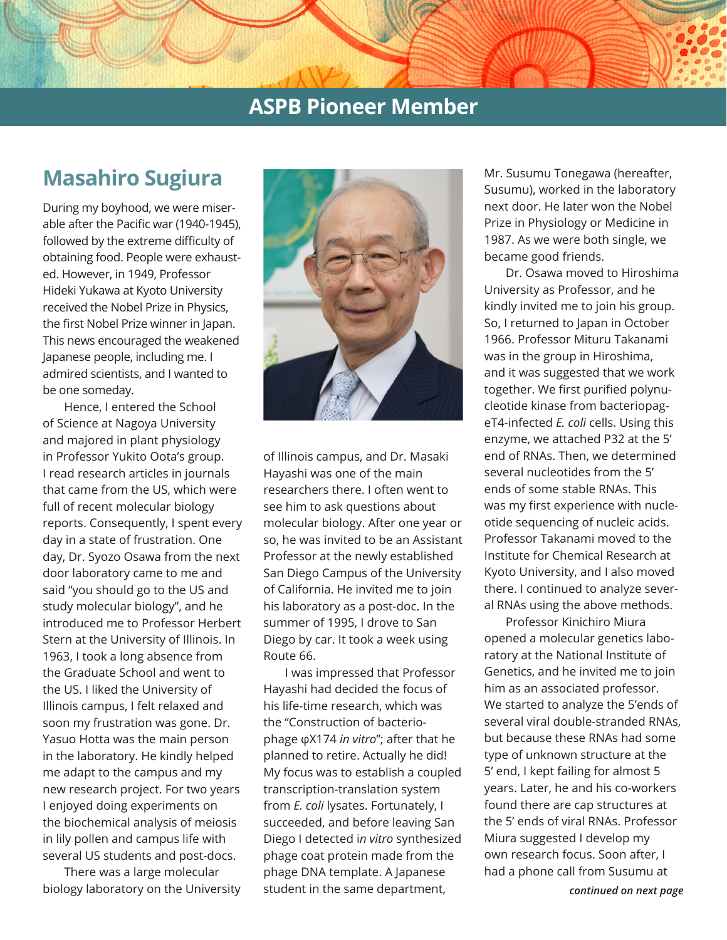## **ASPB Pioneer Member**

# **Masahiro Sugiura**

During my boyhood, we were miserable after the Pacific war (1940-1945), followed by the extreme difficulty of obtaining food. People were exhausted. However, in 1949, Professor Hideki Yukawa at Kyoto University received the Nobel Prize in Physics, the first Nobel Prize winner in Japan. This news encouraged the weakened Japanese people, including me. I admired scientists, and I wanted to be one someday.

Hence, I entered the School of Science at Nagoya University and majored in plant physiology in Professor Yukito Oota's group. I read research articles in journals that came from the US, which were full of recent molecular biology reports. Consequently, I spent every day in a state of frustration. One day, Dr. Syozo Osawa from the next door laboratory came to me and said "you should go to the US and study molecular biology", and he introduced me to Professor Herbert Stern at the University of Illinois. In 1963, I took a long absence from the Graduate School and went to the US. I liked the University of Illinois campus, I felt relaxed and soon my frustration was gone. Dr. Yasuo Hotta was the main person in the laboratory. He kindly helped me adapt to the campus and my new research project. For two years I enjoyed doing experiments on the biochemical analysis of meiosis in lily pollen and campus life with several US students and post-docs.

There was a large molecular biology laboratory on the University



of Illinois campus, and Dr. Masaki Hayashi was one of the main researchers there. I often went to see him to ask questions about molecular biology. After one year or so, he was invited to be an Assistant Professor at the newly established San Diego Campus of the University of California. He invited me to join his laboratory as a post-doc. In the summer of 1995, I drove to San Diego by car. It took a week using Route 66.

I was impressed that Professor Hayashi had decided the focus of his life-time research, which was the "Construction of bacteriophage φX174 *in vitro*''; after that he planned to retire. Actually he did! My focus was to establish a coupled transcription-translation system from *E. coli* lysates. Fortunately, I succeeded, and before leaving San Diego I detected i*n vitro* synthesized phage coat protein made from the phage DNA template. A Japanese student in the same department,

Mr. Susumu Tonegawa (hereafter, Susumu), worked in the laboratory next door. He later won the Nobel Prize in Physiology or Medicine in 1987. As we were both single, we became good friends.

Dr. Osawa moved to Hiroshima University as Professor, and he kindly invited me to join his group. So, I returned to Japan in October 1966. Professor Mituru Takanami was in the group in Hiroshima, and it was suggested that we work together. We first purified polynucleotide kinase from bacteriopageT4-infected *E. coli* cells. Using this enzyme, we attached P32 at the 5' end of RNAs. Then, we determined several nucleotides from the 5' ends of some stable RNAs. This was my first experience with nucleotide sequencing of nucleic acids. Professor Takanami moved to the Institute for Chemical Research at Kyoto University, and I also moved there. I continued to analyze several RNAs using the above methods.

Professor Kinichiro Miura opened a molecular genetics laboratory at the National Institute of Genetics, and he invited me to join him as an associated professor. We started to analyze the 5'ends of several viral double-stranded RNAs, but because these RNAs had some type of unknown structure at the 5' end, I kept failing for almost 5 years. Later, he and his co-workers found there are cap structures at the 5' ends of viral RNAs. Professor Miura suggested I develop my own research focus. Soon after, I had a phone call from Susumu at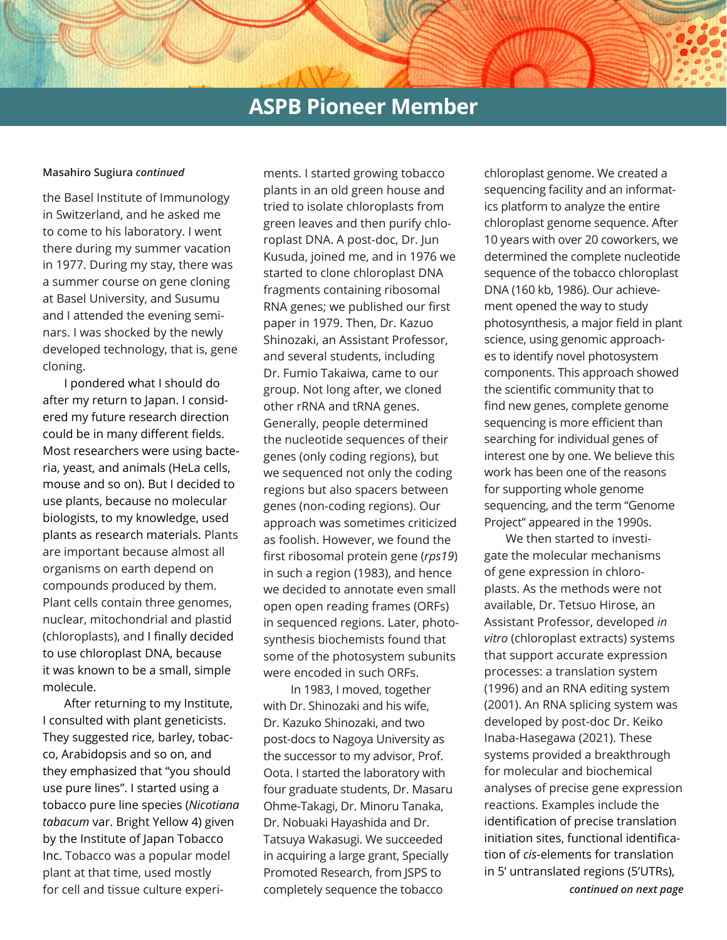## **ASPB Pioneer Member**

#### **Masahiro Sugiura** *continued*

the Basel Institute of Immunology in Switzerland, and he asked me to come to his laboratory. I went there during my summer vacation in 1977. During my stay, there was a summer course on gene cloning at Basel University, and Susumu and I attended the evening seminars. I was shocked by the newly developed technology, that is, gene cloning.

I pondered what I should do after my return to Japan. I considered my future research direction could be in many different fields. Most researchers were using bacteria, yeast, and animals (HeLa cells, mouse and so on). But I decided to use plants, because no molecular biologists, to my knowledge, used plants as research materials. Plants are important because almost all organisms on earth depend on compounds produced by them. Plant cells contain three genomes, nuclear, mitochondrial and plastid (chloroplasts), and I finally decided to use chloroplast DNA, because it was known to be a small, simple molecule.

After returning to my Institute, I consulted with plant geneticists. They suggested rice, barley, tobacco, Arabidopsis and so on, and they emphasized that "you should use pure lines". I started using a tobacco pure line species (*Nicotiana tabacum* var. Bright Yellow 4) given by the Institute of Japan Tobacco Inc. Tobacco was a popular model plant at that time, used mostly for cell and tissue culture experiments. I started growing tobacco plants in an old green house and tried to isolate chloroplasts from green leaves and then purify chloroplast DNA. A post-doc, Dr. Jun Kusuda, joined me, and in 1976 we started to clone chloroplast DNA fragments containing ribosomal RNA genes; we published our first paper in 1979. Then, Dr. Kazuo Shinozaki, an Assistant Professor, and several students, including Dr. Fumio Takaiwa, came to our group. Not long after, we cloned other rRNA and tRNA genes. Generally, people determined the nucleotide sequences of their genes (only coding regions), but we sequenced not only the coding regions but also spacers between genes (non-coding regions). Our approach was sometimes criticized as foolish. However, we found the first ribosomal protein gene (*rps19*) in such a region (1983), and hence we decided to annotate even small open open reading frames (ORFs) in sequenced regions. Later, photosynthesis biochemists found that some of the photosystem subunits were encoded in such ORFs.

 In 1983, I moved, together with Dr. Shinozaki and his wife, Dr. Kazuko Shinozaki, and two post-docs to Nagoya University as the successor to my advisor, Prof. Oota. I started the laboratory with four graduate students, Dr. Masaru Ohme-Takagi, Dr. Minoru Tanaka, Dr. Nobuaki Hayashida and Dr. Tatsuya Wakasugi. We succeeded in acquiring a large grant, Specially Promoted Research, from JSPS to completely sequence the tobacco

chloroplast genome. We created a sequencing facility and an informatics platform to analyze the entire chloroplast genome sequence. After 10 years with over 20 coworkers, we determined the complete nucleotide sequence of the tobacco chloroplast DNA (160 kb, 1986). Our achievement opened the way to study photosynthesis, a major field in plant science, using genomic approaches to identify novel photosystem components. This approach showed the scientific community that to find new genes, complete genome sequencing is more efficient than searching for individual genes of interest one by one. We believe this work has been one of the reasons for supporting whole genome sequencing, and the term "Genome Project" appeared in the 1990s.

*continued on next page* We then started to investigate the molecular mechanisms of gene expression in chloroplasts. As the methods were not available, Dr. Tetsuo Hirose, an Assistant Professor, developed *in vitro* (chloroplast extracts) systems that support accurate expression processes: a translation system (1996) and an RNA editing system (2001). An RNA splicing system was developed by post-doc Dr. Keiko Inaba-Hasegawa (2021). These systems provided a breakthrough for molecular and biochemical analyses of precise gene expression reactions. Examples include the identification of precise translation initiation sites, functional identification of *cis*-elements for translation in 5' untranslated regions (5'UTRs),